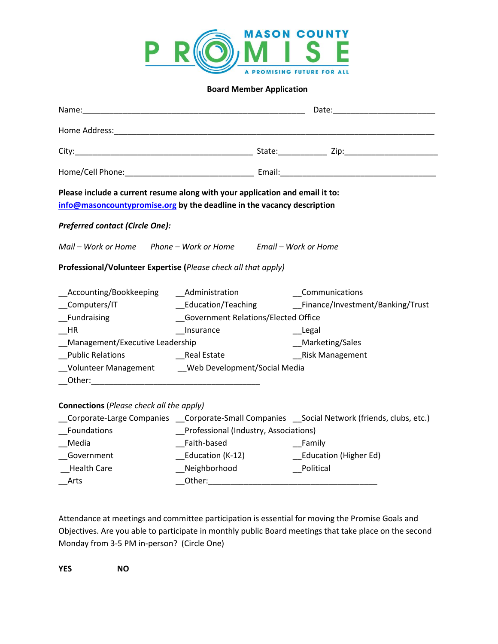

## **Board Member Application**

| Name:                                                                                                                                                  | <u> 1989 - Johann John Stone, mars eta biztanleria (h. 1989).</u> |  | Date:                            |  |  |
|--------------------------------------------------------------------------------------------------------------------------------------------------------|-------------------------------------------------------------------|--|----------------------------------|--|--|
|                                                                                                                                                        |                                                                   |  |                                  |  |  |
|                                                                                                                                                        |                                                                   |  |                                  |  |  |
|                                                                                                                                                        |                                                                   |  |                                  |  |  |
| Please include a current resume along with your application and email it to:<br>info@masoncountypromise.org by the deadline in the vacancy description |                                                                   |  |                                  |  |  |
| <b>Preferred contact (Circle One):</b>                                                                                                                 |                                                                   |  |                                  |  |  |
| Mail – Work or Home Phone – Work or Home Email – Work or Home                                                                                          |                                                                   |  |                                  |  |  |
| Professional/Volunteer Expertise (Please check all that apply)                                                                                         |                                                                   |  |                                  |  |  |
| Accounting/Bookkeeping                                                                                                                                 | Administration                                                    |  | Communications                   |  |  |
| Computers/IT                                                                                                                                           | Education/Teaching                                                |  | Finance/Investment/Banking/Trust |  |  |
| Fundraising                                                                                                                                            | Government Relations/Elected Office                               |  |                                  |  |  |
| HR                                                                                                                                                     | Insurance                                                         |  | Legal                            |  |  |
| Management/Executive Leadership                                                                                                                        |                                                                   |  | Marketing/Sales                  |  |  |
| <b>Public Relations</b>                                                                                                                                | <b>Example 21 Property</b> Real Estate                            |  | Risk Management                  |  |  |
| _Volunteer Management ______ Web Development/Social Media                                                                                              |                                                                   |  |                                  |  |  |
| <b>Connections</b> (Please check all the apply)<br>Corporate-Large Companies __Corporate-Small Companies __Social Network (friends, clubs, etc.)       |                                                                   |  |                                  |  |  |
| Foundations                                                                                                                                            | Professional (Industry, Associations)                             |  |                                  |  |  |
| Media                                                                                                                                                  | Faith-based                                                       |  | Family                           |  |  |
| Government                                                                                                                                             | _Education (K-12)                                                 |  | __Education (Higher Ed)          |  |  |
| <b>Health Care</b>                                                                                                                                     | _Neighborhood                                                     |  | _Political                       |  |  |
|                                                                                                                                                        |                                                                   |  |                                  |  |  |
| Arts                                                                                                                                                   |                                                                   |  |                                  |  |  |

Attendance at meetings and committee participation is essential for moving the Promise Goals and Objectives. Are you able to participate in monthly public Board meetings that take place on the second Monday from 3-5 PM in-person? (Circle One)

**YES NO**